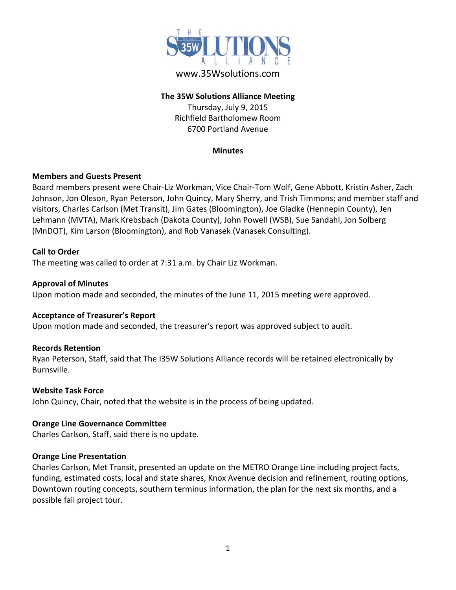

# www.35Wsolutions.com

### **The 35W Solutions Alliance Meeting**

Thursday, July 9, 2015 Richfield Bartholomew Room 6700 Portland Avenue

#### **Minutes**

### **Members and Guests Present**

Board members present were Chair-Liz Workman, Vice Chair-Tom Wolf, Gene Abbott, Kristin Asher, Zach Johnson, Jon Oleson, Ryan Peterson, John Quincy, Mary Sherry, and Trish Timmons; and member staff and visitors, Charles Carlson (Met Transit), Jim Gates (Bloomington), Joe Gladke (Hennepin County), Jen Lehmann (MVTA), Mark Krebsbach (Dakota County), John Powell (WSB), Sue Sandahl, Jon Solberg (MnDOT), Kim Larson (Bloomington), and Rob Vanasek (Vanasek Consulting).

### **Call to Order**

The meeting was called to order at 7:31 a.m. by Chair Liz Workman.

### **Approval of Minutes**

Upon motion made and seconded, the minutes of the June 11, 2015 meeting were approved.

### **Acceptance of Treasurer's Report**

Upon motion made and seconded, the treasurer's report was approved subject to audit.

### **Records Retention**

Ryan Peterson, Staff, said that The I35W Solutions Alliance records will be retained electronically by Burnsville.

### **Website Task Force**

John Quincy, Chair, noted that the website is in the process of being updated.

### **Orange Line Governance Committee**

Charles Carlson, Staff, said there is no update.

### **Orange Line Presentation**

Charles Carlson, Met Transit, presented an update on the METRO Orange Line including project facts, funding, estimated costs, local and state shares, Knox Avenue decision and refinement, routing options, Downtown routing concepts, southern terminus information, the plan for the next six months, and a possible fall project tour.